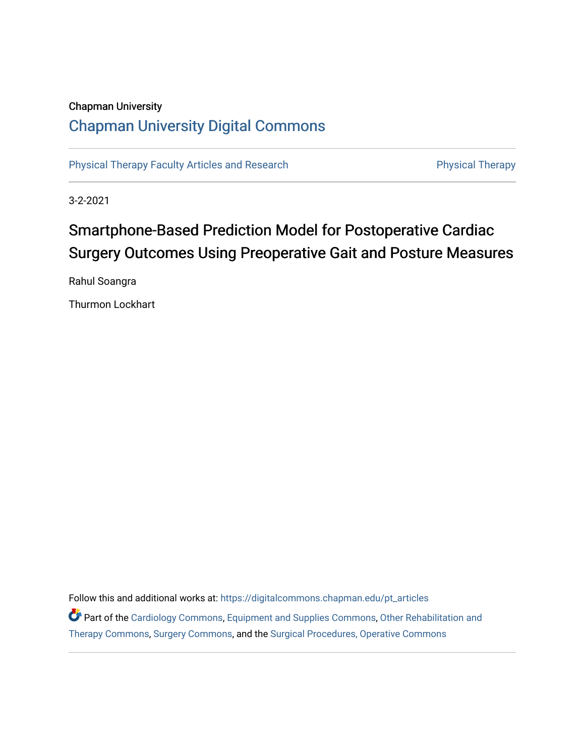## Chapman University [Chapman University Digital Commons](https://digitalcommons.chapman.edu/)

[Physical Therapy Faculty Articles and Research](https://digitalcommons.chapman.edu/pt_articles) **Physical Therapy** Physical Therapy

3-2-2021

# Smartphone-Based Prediction Model for Postoperative Cardiac Surgery Outcomes Using Preoperative Gait and Posture Measures

Rahul Soangra

Thurmon Lockhart

Follow this and additional works at: [https://digitalcommons.chapman.edu/pt\\_articles](https://digitalcommons.chapman.edu/pt_articles?utm_source=digitalcommons.chapman.edu%2Fpt_articles%2F150&utm_medium=PDF&utm_campaign=PDFCoverPages)  Part of the [Cardiology Commons](http://network.bepress.com/hgg/discipline/683?utm_source=digitalcommons.chapman.edu%2Fpt_articles%2F150&utm_medium=PDF&utm_campaign=PDFCoverPages), [Equipment and Supplies Commons,](http://network.bepress.com/hgg/discipline/944?utm_source=digitalcommons.chapman.edu%2Fpt_articles%2F150&utm_medium=PDF&utm_campaign=PDFCoverPages) Other Rehabilitation and [Therapy Commons](http://network.bepress.com/hgg/discipline/758?utm_source=digitalcommons.chapman.edu%2Fpt_articles%2F150&utm_medium=PDF&utm_campaign=PDFCoverPages), [Surgery Commons](http://network.bepress.com/hgg/discipline/706?utm_source=digitalcommons.chapman.edu%2Fpt_articles%2F150&utm_medium=PDF&utm_campaign=PDFCoverPages), and the [Surgical Procedures, Operative Commons](http://network.bepress.com/hgg/discipline/974?utm_source=digitalcommons.chapman.edu%2Fpt_articles%2F150&utm_medium=PDF&utm_campaign=PDFCoverPages)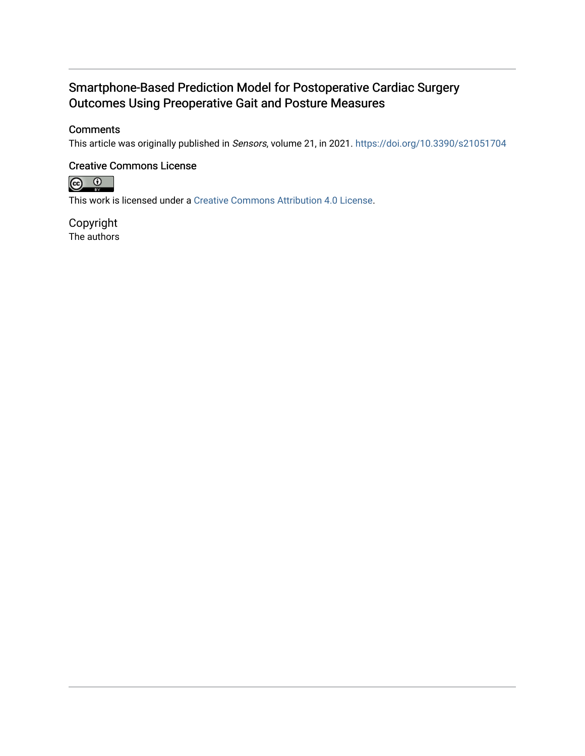## Smartphone-Based Prediction Model for Postoperative Cardiac Surgery Outcomes Using Preoperative Gait and Posture Measures

### **Comments**

This article was originally published in Sensors, volume 21, in 2021.<https://doi.org/10.3390/s21051704>

### Creative Commons License



This work is licensed under a [Creative Commons Attribution 4.0 License](https://creativecommons.org/licenses/by/4.0/).

# Copyright

The authors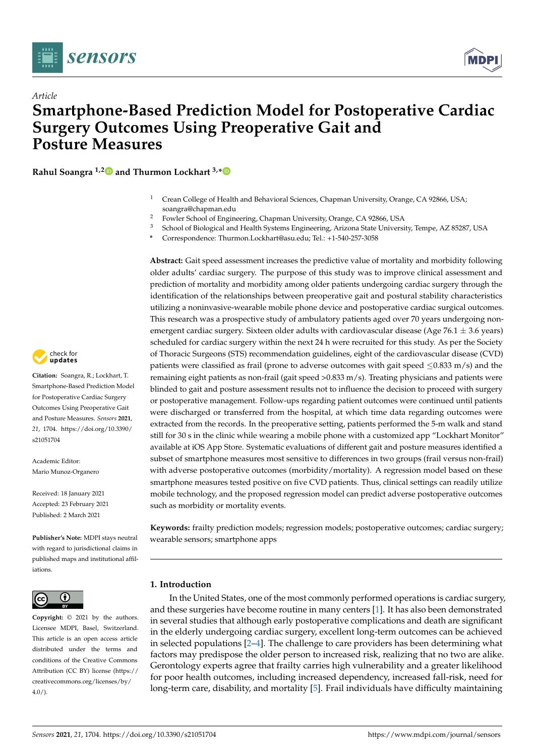



## *Article* **Smartphone-Based Prediction Model for Postoperative Cardiac Surgery Outcomes Using Preoperative Gait and Posture Measures**

**Rahul Soangra 1,[2](https://orcid.org/0000-0001-9836-1549) and Thurmon Lockhart 3,[\\*](https://orcid.org/0000-0002-7008-5711)**

- Crean College of Health and Behavioral Sciences, Chapman University, Orange, CA 92866, USA; soangra@chapman.edu
- <sup>2</sup> Fowler School of Engineering, Chapman University, Orange, CA 92866, USA<br><sup>3</sup> School of Biological and Hoalth Systems Engineering. A rigona State University
- <sup>3</sup> School of Biological and Health Systems Engineering, Arizona State University, Tempe, AZ 85287, USA
- **\*** Correspondence: Thurmon.Lockhart@asu.edu; Tel.: +1-540-257-3058

**Abstract:** Gait speed assessment increases the predictive value of mortality and morbidity following older adults' cardiac surgery. The purpose of this study was to improve clinical assessment and prediction of mortality and morbidity among older patients undergoing cardiac surgery through the identification of the relationships between preoperative gait and postural stability characteristics utilizing a noninvasive-wearable mobile phone device and postoperative cardiac surgical outcomes. This research was a prospective study of ambulatory patients aged over 70 years undergoing nonemergent cardiac surgery. Sixteen older adults with cardiovascular disease (Age 76.1  $\pm$  3.6 years) scheduled for cardiac surgery within the next 24 h were recruited for this study. As per the Society of Thoracic Surgeons (STS) recommendation guidelines, eight of the cardiovascular disease (CVD) patients were classified as frail (prone to adverse outcomes with gait speed  $\leq$ 0.833 m/s) and the remaining eight patients as non-frail (gait speed >0.833 m/s). Treating physicians and patients were blinded to gait and posture assessment results not to influence the decision to proceed with surgery or postoperative management. Follow-ups regarding patient outcomes were continued until patients were discharged or transferred from the hospital, at which time data regarding outcomes were extracted from the records. In the preoperative setting, patients performed the 5-m walk and stand still for 30 s in the clinic while wearing a mobile phone with a customized app "Lockhart Monitor" available at iOS App Store. Systematic evaluations of different gait and posture measures identified a subset of smartphone measures most sensitive to differences in two groups (frail versus non-frail) with adverse postoperative outcomes (morbidity/mortality). A regression model based on these smartphone measures tested positive on five CVD patients. Thus, clinical settings can readily utilize mobile technology, and the proposed regression model can predict adverse postoperative outcomes such as morbidity or mortality events.

**Keywords:** frailty prediction models; regression models; postoperative outcomes; cardiac surgery; wearable sensors; smartphone apps

#### **1. Introduction**

In the United States, one of the most commonly performed operations is cardiac surgery, and these surgeries have become routine in many centers [\[1\]](#page-13-0). It has also been demonstrated in several studies that although early postoperative complications and death are significant in the elderly undergoing cardiac surgery, excellent long-term outcomes can be achieved in selected populations [\[2–](#page-13-1)[4\]](#page-13-2). The challenge to care providers has been determining what factors may predispose the older person to increased risk, realizing that no two are alike. Gerontology experts agree that frailty carries high vulnerability and a greater likelihood for poor health outcomes, including increased dependency, increased fall-risk, need for long-term care, disability, and mortality [\[5\]](#page-13-3). Frail individuals have difficulty maintaining



**Citation:** Soangra, R.; Lockhart, T. Smartphone-Based Prediction Model for Postoperative Cardiac Surgery Outcomes Using Preoperative Gait and Posture Measures. *Sensors* **2021**, *21*, 1704. [https://doi.org/10.3390/](https://doi.org/10.3390/s21051704) [s21051704](https://doi.org/10.3390/s21051704)

Academic Editor: Mario Munoz-Organero

Received: 18 January 2021 Accepted: 23 February 2021 Published: 2 March 2021

**Publisher's Note:** MDPI stays neutral with regard to jurisdictional claims in published maps and institutional affiliations.



**Copyright:** © 2021 by the authors. Licensee MDPI, Basel, Switzerland. This article is an open access article distributed under the terms and conditions of the Creative Commons Attribution (CC BY) license (https:/[/](https://creativecommons.org/licenses/by/4.0/) [creativecommons.org/licenses/by/](https://creativecommons.org/licenses/by/4.0/) 4.0/).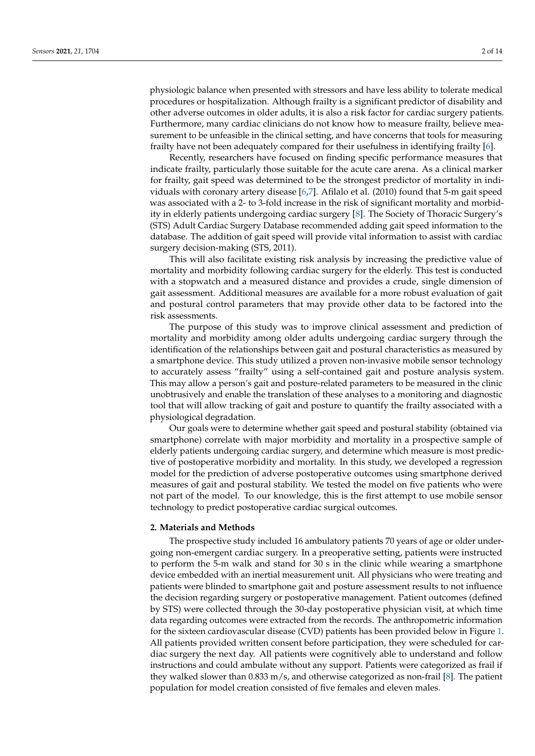physiologic balance when presented with stressors and have less ability to tolerate medical procedures or hospitalization. Although frailty is a significant predictor of disability and other adverse outcomes in older adults, it is also a risk factor for cardiac surgery patients. Furthermore, many cardiac clinicians do not know how to measure frailty, believe measurement to be unfeasible in the clinical setting, and have concerns that tools for measuring frailty have not been adequately compared for their usefulness in identifying frailty [\[6\]](#page-13-4).

Recently, researchers have focused on finding specific performance measures that indicate frailty, particularly those suitable for the acute care arena. As a clinical marker for frailty, gait speed was determined to be the strongest predictor of mortality in individuals with coronary artery disease [\[6](#page-13-4)[,7\]](#page-13-5). Afilalo et al. (2010) found that 5-m gait speed was associated with a 2- to 3-fold increase in the risk of significant mortality and morbidity in elderly patients undergoing cardiac surgery [\[8\]](#page-13-6). The Society of Thoracic Surgery's (STS) Adult Cardiac Surgery Database recommended adding gait speed information to the database. The addition of gait speed will provide vital information to assist with cardiac surgery decision-making (STS, 2011).

This will also facilitate existing risk analysis by increasing the predictive value of mortality and morbidity following cardiac surgery for the elderly. This test is conducted with a stopwatch and a measured distance and provides a crude, single dimension of gait assessment. Additional measures are available for a more robust evaluation of gait and postural control parameters that may provide other data to be factored into the risk assessments.

The purpose of this study was to improve clinical assessment and prediction of mortality and morbidity among older adults undergoing cardiac surgery through the identification of the relationships between gait and postural characteristics as measured by a smartphone device. This study utilized a proven non-invasive mobile sensor technology to accurately assess "frailty" using a self-contained gait and posture analysis system. This may allow a person's gait and posture-related parameters to be measured in the clinic unobtrusively and enable the translation of these analyses to a monitoring and diagnostic tool that will allow tracking of gait and posture to quantify the frailty associated with a physiological degradation.

Our goals were to determine whether gait speed and postural stability (obtained via smartphone) correlate with major morbidity and mortality in a prospective sample of elderly patients undergoing cardiac surgery, and determine which measure is most predictive of postoperative morbidity and mortality. In this study, we developed a regression model for the prediction of adverse postoperative outcomes using smartphone derived measures of gait and postural stability. We tested the model on five patients who were not part of the model. To our knowledge, this is the first attempt to use mobile sensor technology to predict postoperative cardiac surgical outcomes.

#### **2. Materials and Methods**

The prospective study included 16 ambulatory patients 70 years of age or older undergoing non-emergent cardiac surgery. In a preoperative setting, patients were instructed to perform the 5-m walk and stand for 30 s in the clinic while wearing a smartphone device embedded with an inertial measurement unit. All physicians who were treating and patients were blinded to smartphone gait and posture assessment results to not influence the decision regarding surgery or postoperative management. Patient outcomes (defined by STS) were collected through the 30-day postoperative physician visit, at which time data regarding outcomes were extracted from the records. The anthropometric information for the sixteen cardiovascular disease (CVD) patients has been provided below in Figure [1.](#page-4-0) All patients provided written consent before participation, they were scheduled for cardiac surgery the next day. All patients were cognitively able to understand and follow instructions and could ambulate without any support. Patients were categorized as frail if they walked slower than 0.833 m/s, and otherwise categorized as non-frail [\[8\]](#page-13-6). The patient population for model creation consisted of five females and eleven males.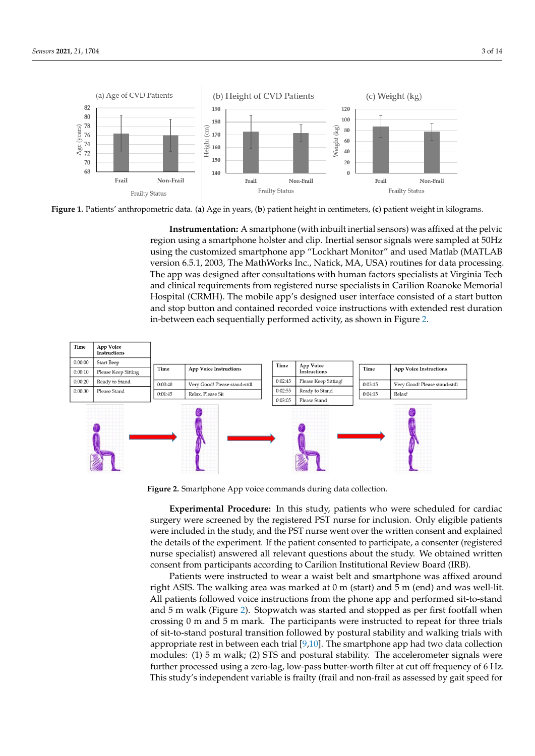<span id="page-4-0"></span>

Figure 1. Patients' anthropometric data. (a) Age in years, (b) patient height in centimeters, (c) patient weight in kilograms.

**Instrumentation:** A smartphone (with inbuilt inertial sensors) was affixed at the pelvic region using a smartphone holster and clip. Inertial sensor signals were sampled at 50Hz using the customized smartphone app "Lockhart Monitor" and used Matlab (MATLAB version 6.5.1, 2003, The MathWorks Inc., Natick, MA, USA) routines for data processing. The app was designed after consultations with human factors specialists at Virginia Tech and clinical requirements from registered nurse specialists in Carilion Roanoke Memorial Hospital (CRMH). The mobile app's designed user interface consisted of a start button and stop button and contained recorded voice instructions with extended rest duration in-between each sequentially performed activity, as shown in Figure [2.](#page-4-1) **Figure 1.** Patients' anthropometric data. (**a**) Age in years, (**b**) patient height in centimeters, (**c**) patient weight in kilograms.

<span id="page-4-1"></span>

Figure 2. Smartphone App voice commands during data collection.  $\overline{\mathcal{S}}$  m was started and started and stopped as per first football when  $\overline{\mathcal{S}}$ 

Experimental Procedure: In this study, patients who were scheduled for cardiac surgery were screened by the registered PST nurse for inclusion. Only eligible patients were included in the study, and the PST nurse went over the written consent and explained the details of the experiment. If the patient consented to participate, a consenter (registered nurse specialist) answered all relevant questions about the study. We obtained written nurse specialist) answered all relevant questions about the study. We obtained written consent from participants according to Carilion Institutional Review Board (IRB). consent from participants according to Carilion Institutional Review Board (IRB).

Patients were instructed to wear a waist belt and smartphone was affixed around Patients were instructed to wear a waist belt and smartphone was affixed around right ASIS. The walking area was marked at 0 m (start) and 5 m (end) and was well-lit. right ASIS. The walking area was marked at 0 m (start) and 5 m (end) and was well-lit. All patients followed voice instructions from the phone app and performed sit-to-stand All patients followed voice instructions from the phone app and performed sit-to-stand and 5 m walk (Figure [2](#page-4-1)). Stopwatch was started and stopped as per first footfall when and 5 m walk (Figure 2). Stopwatch was started and stopped as per first footfall when crossing  $0$  m and  $5$  m mark. The participants were instructed to repeat for three trials of sit-to-stand postural transition followed by postural stability and walking trials with appropriate rest in between each trial  $[9,10]$  $[9,10]$ . The smartphone app had two data collection modules: (1) 5 m walk; (2) STS and postural stability. The accelerometer signals were further processed using a zero-lag, low-pass butter-worth filter at cut off frequency of 6 Hz. This study's independent variable is frailty (frail and non-frail as assessed by gait speed for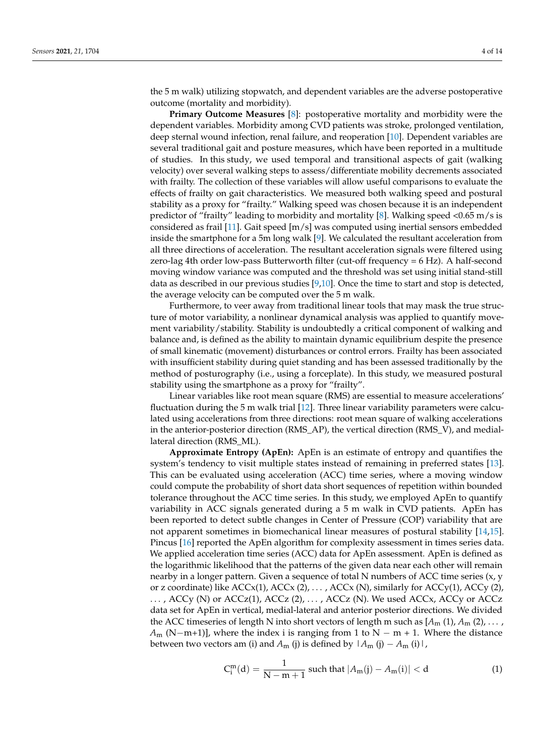the 5 m walk) utilizing stopwatch, and dependent variables are the adverse postoperative outcome (mortality and morbidity).

**Primary Outcome Measures** [\[8\]](#page-13-6): postoperative mortality and morbidity were the dependent variables. Morbidity among CVD patients was stroke, prolonged ventilation, deep sternal wound infection, renal failure, and reoperation [\[10\]](#page-13-8). Dependent variables are several traditional gait and posture measures, which have been reported in a multitude of studies. In this study, we used temporal and transitional aspects of gait (walking velocity) over several walking steps to assess/differentiate mobility decrements associated with frailty. The collection of these variables will allow useful comparisons to evaluate the effects of frailty on gait characteristics. We measured both walking speed and postural stability as a proxy for "frailty." Walking speed was chosen because it is an independent predictor of "frailty" leading to morbidity and mortality [\[8\]](#page-13-6). Walking speed <0.65 m/s is considered as frail [\[11\]](#page-13-9). Gait speed [m/s] was computed using inertial sensors embedded inside the smartphone for a 5m long walk [\[9\]](#page-13-7). We calculated the resultant acceleration from all three directions of acceleration. The resultant acceleration signals were filtered using zero-lag 4th order low-pass Butterworth filter (cut-off frequency = 6 Hz). A half-second moving window variance was computed and the threshold was set using initial stand-still data as described in our previous studies [\[9,](#page-13-7)[10\]](#page-13-8). Once the time to start and stop is detected, the average velocity can be computed over the 5 m walk.

Furthermore, to veer away from traditional linear tools that may mask the true structure of motor variability, a nonlinear dynamical analysis was applied to quantify movement variability/stability. Stability is undoubtedly a critical component of walking and balance and, is defined as the ability to maintain dynamic equilibrium despite the presence of small kinematic (movement) disturbances or control errors. Frailty has been associated with insufficient stability during quiet standing and has been assessed traditionally by the method of posturography (i.e., using a forceplate). In this study, we measured postural stability using the smartphone as a proxy for "frailty".

Linear variables like root mean square (RMS) are essential to measure accelerations' fluctuation during the 5 m walk trial [\[12\]](#page-13-10). Three linear variability parameters were calculated using accelerations from three directions: root mean square of walking accelerations in the anterior-posterior direction (RMS\_AP), the vertical direction (RMS\_V), and mediallateral direction (RMS\_ML).

**Approximate Entropy (ApEn):** ApEn is an estimate of entropy and quantifies the system's tendency to visit multiple states instead of remaining in preferred states [\[13\]](#page-13-11). This can be evaluated using acceleration (ACC) time series, where a moving window could compute the probability of short data short sequences of repetition within bounded tolerance throughout the ACC time series. In this study, we employed ApEn to quantify variability in ACC signals generated during a 5 m walk in CVD patients. ApEn has been reported to detect subtle changes in Center of Pressure (COP) variability that are not apparent sometimes in biomechanical linear measures of postural stability [\[14,](#page-14-0)[15\]](#page-14-1). Pincus [\[16\]](#page-14-2) reported the ApEn algorithm for complexity assessment in times series data. We applied acceleration time series (ACC) data for ApEn assessment. ApEn is defined as the logarithmic likelihood that the patterns of the given data near each other will remain nearby in a longer pattern. Given a sequence of total N numbers of ACC time series (x, y or z coordinate) like  $ACCx(1)$ ,  $ACCx(2)$ ,  $\ldots$ ,  $ACCx(N)$ , similarly for  $ACCy(1)$ ,  $ACCy(2)$ , . . . , ACCy (N) or ACCz(1), ACCz (2), . . . , ACCz (N). We used ACCx, ACCy or ACCz data set for ApEn in vertical, medial-lateral and anterior posterior directions. We divided the ACC timeseries of length N into short vectors of length m such as  $[A_m(1), A_m(2), \ldots,$  $A_m$  (N−m+1)], where the index i is ranging from 1 to N – m + 1. Where the distance between two vectors am (i) and  $A_m$  (j) is defined by  $|A_m$  (j) –  $A_m$  (i) $|$ ,

$$
C_i^m(d) = \frac{1}{N - m + 1} \text{ such that } |A_m(j) - A_m(i)| < d \tag{1}
$$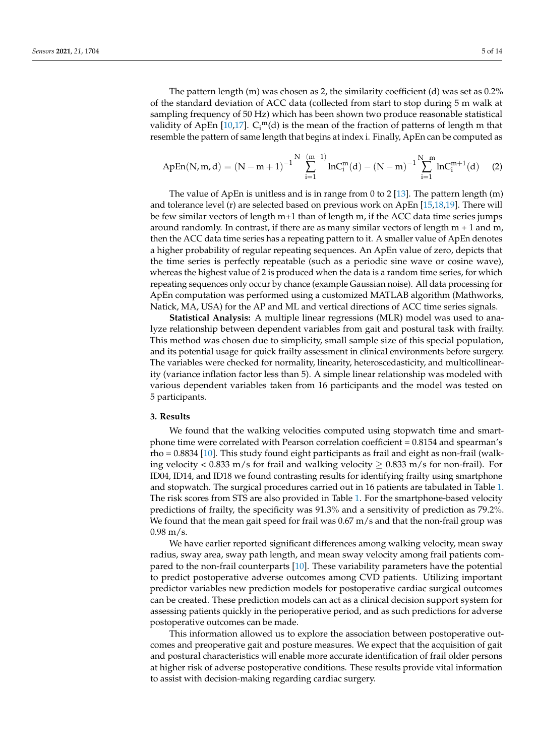The pattern length (m) was chosen as 2, the similarity coefficient (d) was set as 0.2% of the standard deviation of ACC data (collected from start to stop during 5 m walk at sampling frequency of 50 Hz) which has been shown two produce reasonable statistical validity of ApEn [\[10](#page-13-8)[,17\]](#page-14-3).  $C_i^m(d)$  is the mean of the fraction of patterns of length m that resemble the pattern of same length that begins at index i. Finally, ApEn can be computed as

$$
ApEn(N,m,d) = (N-m+1)^{-1} \sum_{i=1}^{N-(m-1)} lnC_i^m(d) - (N-m)^{-1} \sum_{i=1}^{N-m} lnC_i^{m+1}(d) \quad \ \ (2)
$$

The value of ApEn is unitless and is in range from 0 to 2 [\[13\]](#page-13-11). The pattern length  $(m)$ and tolerance level (r) are selected based on previous work on ApEn [\[15,](#page-14-1)[18,](#page-14-4)[19\]](#page-14-5). There will be few similar vectors of length m+1 than of length m, if the ACC data time series jumps around randomly. In contrast, if there are as many similar vectors of length  $m + 1$  and  $m$ , then the ACC data time series has a repeating pattern to it. A smaller value of ApEn denotes a higher probability of regular repeating sequences. An ApEn value of zero, depicts that the time series is perfectly repeatable (such as a periodic sine wave or cosine wave), whereas the highest value of 2 is produced when the data is a random time series, for which repeating sequences only occur by chance (example Gaussian noise). All data processing for ApEn computation was performed using a customized MATLAB algorithm (Mathworks, Natick, MA, USA) for the AP and ML and vertical directions of ACC time series signals.

**Statistical Analysis:** A multiple linear regressions (MLR) model was used to analyze relationship between dependent variables from gait and postural task with frailty. This method was chosen due to simplicity, small sample size of this special population, and its potential usage for quick frailty assessment in clinical environments before surgery. The variables were checked for normality, linearity, heteroscedasticity, and multicollinearity (variance inflation factor less than 5). A simple linear relationship was modeled with various dependent variables taken from 16 participants and the model was tested on 5 participants.

#### **3. Results**

We found that the walking velocities computed using stopwatch time and smartphone time were correlated with Pearson correlation coefficient  $= 0.8154$  and spearman's rho = 0.8834 [\[10\]](#page-13-8). This study found eight participants as frail and eight as non-frail (walking velocity < 0.833 m/s for frail and walking velocity  $\geq$  0.833 m/s for non-frail). For ID04, ID14, and ID18 we found contrasting results for identifying frailty using smartphone and stopwatch. The surgical procedures carried out in 16 patients are tabulated in Table [1.](#page-7-0) The risk scores from STS are also provided in Table [1.](#page-7-0) For the smartphone-based velocity predictions of frailty, the specificity was 91.3% and a sensitivity of prediction as 79.2%. We found that the mean gait speed for frail was  $0.67 \text{ m/s}$  and that the non-frail group was 0.98 m/s.

We have earlier reported significant differences among walking velocity, mean sway radius, sway area, sway path length, and mean sway velocity among frail patients compared to the non-frail counterparts [\[10\]](#page-13-8). These variability parameters have the potential to predict postoperative adverse outcomes among CVD patients. Utilizing important predictor variables new prediction models for postoperative cardiac surgical outcomes can be created. These prediction models can act as a clinical decision support system for assessing patients quickly in the perioperative period, and as such predictions for adverse postoperative outcomes can be made.

This information allowed us to explore the association between postoperative outcomes and preoperative gait and posture measures. We expect that the acquisition of gait and postural characteristics will enable more accurate identification of frail older persons at higher risk of adverse postoperative conditions. These results provide vital information to assist with decision-making regarding cardiac surgery.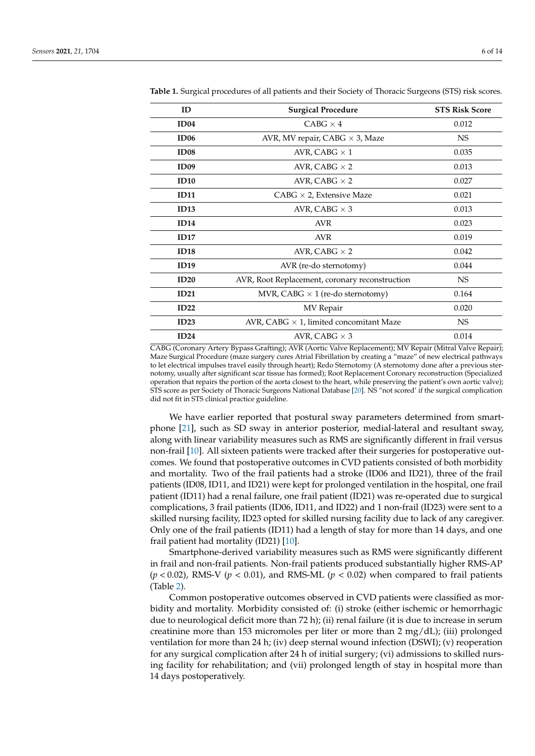| ID               | <b>Surgical Procedure</b>                      | <b>STS Risk Score</b> |
|------------------|------------------------------------------------|-----------------------|
| <b>ID04</b>      | $CABG \times 4$                                | 0.012                 |
| ID <sub>06</sub> | AVR, MV repair, CABG $\times$ 3, Maze          | NS                    |
| <b>ID08</b>      | AVR, CABG $\times$ 1                           | 0.035                 |
| ID <sub>09</sub> | AVR, CABG $\times$ 2                           | 0.013                 |
| <b>ID10</b>      | AVR, CABG $\times$ 2                           | 0.027                 |
| ID11             | $CABG \times 2$ , Extensive Maze               | 0.021                 |
| <b>ID13</b>      | AVR, CABG $\times$ 3                           | 0.013                 |
| <b>ID14</b>      | <b>AVR</b>                                     | 0.023                 |
| ID17             | <b>AVR</b>                                     | 0.019                 |
| <b>ID18</b>      | AVR, CABG $\times$ 2                           | 0.042                 |
| ID19             | AVR (re-do sternotomy)                         | 0.044                 |
| <b>ID20</b>      | AVR, Root Replacement, coronary reconstruction | NS.                   |
| ID21             | MVR, CABG $\times$ 1 (re-do sternotomy)        | 0.164                 |
| ID22             | MV Repair                                      | 0.020                 |
| ID23             | AVR, CABG $\times$ 1, limited concomitant Maze | <b>NS</b>             |
| ID24             | AVR, CABG $\times$ 3                           | 0.014                 |

<span id="page-7-0"></span>**Table 1.** Surgical procedures of all patients and their Society of Thoracic Surgeons (STS) risk scores.

CABG (Coronary Artery Bypass Grafting); AVR (Aortic Valve Replacement); MV Repair (Mitral Valve Repair); Maze Surgical Procedure (maze surgery cures Atrial Fibrillation by creating a "maze" of new electrical pathways to let electrical impulses travel easily through heart); Redo Sternotomy (A sternotomy done after a previous sternotomy, usually after significant scar tissue has formed); Root Replacement Coronary reconstruction (Specialized operation that repairs the portion of the aorta closest to the heart, while preserving the patient's own aortic valve); STS score as per Society of Thoracic Surgeons National Database [\[20\]](#page-14-6). NS "not scored' if the surgical complication did not fit in STS clinical practice guideline.

We have earlier reported that postural sway parameters determined from smartphone [\[21\]](#page-14-7), such as SD sway in anterior posterior, medial-lateral and resultant sway, along with linear variability measures such as RMS are significantly different in frail versus non-frail [\[10\]](#page-13-8). All sixteen patients were tracked after their surgeries for postoperative outcomes. We found that postoperative outcomes in CVD patients consisted of both morbidity and mortality. Two of the frail patients had a stroke (ID06 and ID21), three of the frail patients (ID08, ID11, and ID21) were kept for prolonged ventilation in the hospital, one frail patient (ID11) had a renal failure, one frail patient (ID21) was re-operated due to surgical complications, 3 frail patients (ID06, ID11, and ID22) and 1 non-frail (ID23) were sent to a skilled nursing facility, ID23 opted for skilled nursing facility due to lack of any caregiver. Only one of the frail patients (ID11) had a length of stay for more than 14 days, and one frail patient had mortality (ID21) [\[10\]](#page-13-8).

Smartphone-derived variability measures such as RMS were significantly different in frail and non-frail patients. Non-frail patients produced substantially higher RMS-AP  $(p < 0.02)$ , RMS-V  $(p < 0.01)$ , and RMS-ML  $(p < 0.02)$  when compared to frail patients (Table [2\)](#page-8-0).

Common postoperative outcomes observed in CVD patients were classified as morbidity and mortality. Morbidity consisted of: (i) stroke (either ischemic or hemorrhagic due to neurological deficit more than 72 h); (ii) renal failure (it is due to increase in serum creatinine more than 153 micromoles per liter or more than 2 mg/dL); (iii) prolonged ventilation for more than 24 h; (iv) deep sternal wound infection (DSWI); (v) reoperation for any surgical complication after 24 h of initial surgery; (vi) admissions to skilled nursing facility for rehabilitation; and (vii) prolonged length of stay in hospital more than 14 days postoperatively.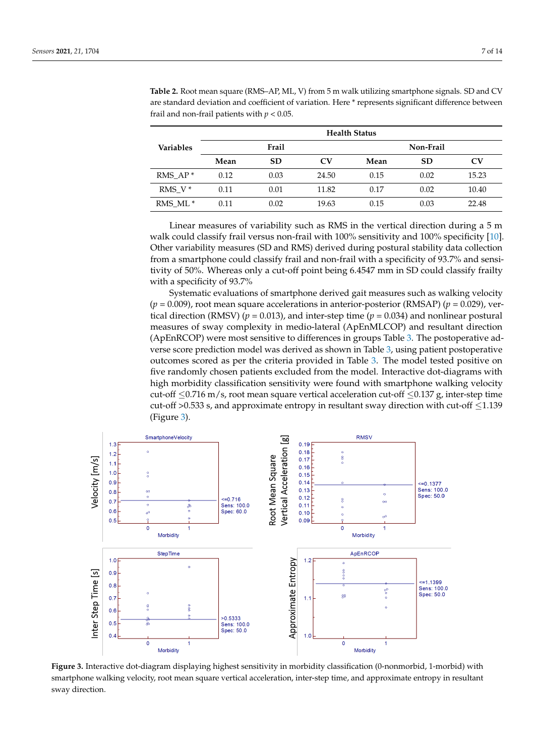|                     | <b>Health Status</b> |           |       |           |           |           |
|---------------------|----------------------|-----------|-------|-----------|-----------|-----------|
| <b>Variables</b>    | Frail                |           |       | Non-Frail |           |           |
|                     | Mean                 | <b>SD</b> | CV    | Mean      | <b>SD</b> | $\rm{CV}$ |
| RMS $AP*$           | 0.12                 | 0.03      | 24.50 | 0.15      | 0.02      | 15.23     |
| RMS $V^*$           | 0.11                 | 0.01      | 11.82 | 0.17      | 0.02      | 10.40     |
| RMS ML <sup>*</sup> | 0.11                 | 0.02      | 19.63 | 0.15      | 0.03      | 22.48     |

<span id="page-8-0"></span>**Table 2.** Root mean square (RMS–AP, ML, V) from 5 m walk utilizing smartphone signals. SD and CV are standard deviation and coefficient of variation. Here \* represents significant difference between frail and non-frail patients with  $p < 0.05$ .

Linear measures of variability such as RMS in the vertical direction during a 5 m walk could classify frail versus non-frail with 100% sensitivity and 100% specificity [\[10\]](#page-13-8). Other variability measures (SD and RMS) derived during postural stability data collection from a smartphone could classify frail and non-frail with a specificity of 93.7% and sensitivity of 50%. Whereas only a cut-off point being 6.4547 mm in SD could classify frailty with a specificity of 93.7%

Systematic evaluations of smartphone derived gait measures such as walking velocity (*p* = 0.009), root mean square accelerations in anterior-posterior (RMSAP) (*p* = 0.029), vertical direction (RMSV) ( $p = 0.013$ ), and inter-step time ( $p = 0.034$ ) and nonlinear postural measures of sway complexity in medio-lateral (ApEnMLCOP) and resultant direction (ApEnRCOP) were most sensitive to differences in groups Table [3.](#page-9-0) The postoperative adverse score prediction model was derived as shown in Table [3,](#page-9-0) using patient postoperative outcomes scored as per the criteria provided in Table [3.](#page-9-0) The model tested positive on five randomly chosen patients excluded from the model. Interactive dot-diagrams with high morbidity classification sensitivity were found with smartphone walking velocity cut-off ≤0.716 m/s, root mean square vertical acceleration cut-off ≤0.137 g, inter-step time cut-off >0.533 s, and approximate entropy in resultant sway direction with cut-off  $\leq$ 1.139 (Figure [3\)](#page-8-1).

<span id="page-8-1"></span>

**Figure 3.** Interactive dot-diagram displaying highest sensitivity in morbidity classification (0-nonmorbid, 1-morbid) with smartphone walking velocity, root mean square vertical acceleration, inter-step time, and approximate entropy in resultant sway direction.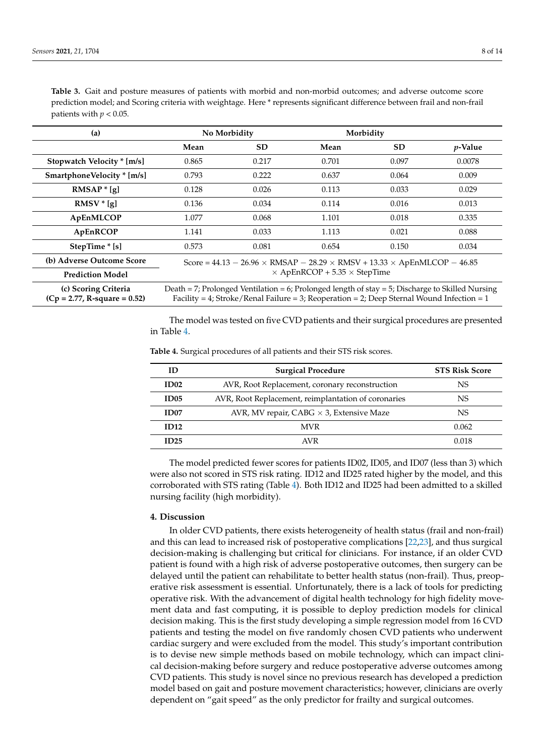<span id="page-9-0"></span>**Table 3.** Gait and posture measures of patients with morbid and non-morbid outcomes; and adverse outcome score prediction model; and Scoring criteria with weightage. Here \* represents significant difference between frail and non-frail patients with  $p < 0.05$ .

| (a)                                                    | No Morbidity                                                                                                                                                                                     |           | Morbidity |           |            |
|--------------------------------------------------------|--------------------------------------------------------------------------------------------------------------------------------------------------------------------------------------------------|-----------|-----------|-----------|------------|
|                                                        | Mean                                                                                                                                                                                             | <b>SD</b> | Mean      | <b>SD</b> | $p$ -Value |
| Stopwatch Velocity * [m/s]                             | 0.865                                                                                                                                                                                            | 0.217     | 0.701     | 0.097     | 0.0078     |
| SmartphoneVelocity * [m/s]                             | 0.793                                                                                                                                                                                            | 0.222     | 0.637     | 0.064     | 0.009      |
| $RMSAP * [g]$                                          | 0.128                                                                                                                                                                                            | 0.026     | 0.113     | 0.033     | 0.029      |
| $RMSV * [g]$                                           | 0.136                                                                                                                                                                                            | 0.034     | 0.114     | 0.016     | 0.013      |
| ApEnMLCOP                                              | 1.077                                                                                                                                                                                            | 0.068     | 1.101     | 0.018     | 0.335      |
| ApEnRCOP                                               | 1.141                                                                                                                                                                                            | 0.033     | 1.113     | 0.021     | 0.088      |
| StepTime * [s]                                         | 0.573                                                                                                                                                                                            | 0.081     | 0.654     | 0.150     | 0.034      |
| (b) Adverse Outcome Score                              | Score = $44.13 - 26.96 \times$ RMSAP $- 28.29 \times$ RMSV + 13.33 $\times$ ApEnMLCOP $- 46.85$                                                                                                  |           |           |           |            |
| <b>Prediction Model</b>                                | $\times$ ApEnRCOP + 5.35 $\times$ StepTime                                                                                                                                                       |           |           |           |            |
| (c) Scoring Criteria<br>$(Cp = 2.77, R-square = 0.52)$ | Death = 7; Prolonged Ventilation = 6; Prolonged length of stay = 5; Discharge to Skilled Nursing<br>Facility = $4$ ; Stroke/Renal Failure = 3; Reoperation = 2; Deep Sternal Wound Infection = 1 |           |           |           |            |

The model was tested on five CVD patients and their surgical procedures are presented in Table [4.](#page-9-1)

<span id="page-9-1"></span>**Table 4.** Surgical procedures of all patients and their STS risk scores.

| ID               | <b>Surgical Procedure</b>                           | <b>STS Risk Score</b> |
|------------------|-----------------------------------------------------|-----------------------|
| <b>ID02</b>      | AVR, Root Replacement, coronary reconstruction      | NS                    |
| <b>ID05</b>      | AVR, Root Replacement, reimplantation of coronaries | NS.                   |
| ID <sub>07</sub> | AVR, MV repair, CABG $\times$ 3, Extensive Maze     | NS.                   |
| ID12             | <b>MVR</b>                                          | 0.062                 |
| ID25             | AVR.                                                | 0.018                 |

The model predicted fewer scores for patients ID02, ID05, and ID07 (less than 3) which were also not scored in STS risk rating. ID12 and ID25 rated higher by the model, and this corroborated with STS rating (Table [4\)](#page-9-1). Both ID12 and ID25 had been admitted to a skilled nursing facility (high morbidity).

#### **4. Discussion**

In older CVD patients, there exists heterogeneity of health status (frail and non-frail) and this can lead to increased risk of postoperative complications [\[22](#page-14-8)[,23\]](#page-14-9), and thus surgical decision-making is challenging but critical for clinicians. For instance, if an older CVD patient is found with a high risk of adverse postoperative outcomes, then surgery can be delayed until the patient can rehabilitate to better health status (non-frail). Thus, preoperative risk assessment is essential. Unfortunately, there is a lack of tools for predicting operative risk. With the advancement of digital health technology for high fidelity movement data and fast computing, it is possible to deploy prediction models for clinical decision making. This is the first study developing a simple regression model from 16 CVD patients and testing the model on five randomly chosen CVD patients who underwent cardiac surgery and were excluded from the model. This study's important contribution is to devise new simple methods based on mobile technology, which can impact clinical decision-making before surgery and reduce postoperative adverse outcomes among CVD patients. This study is novel since no previous research has developed a prediction model based on gait and posture movement characteristics; however, clinicians are overly dependent on "gait speed" as the only predictor for frailty and surgical outcomes.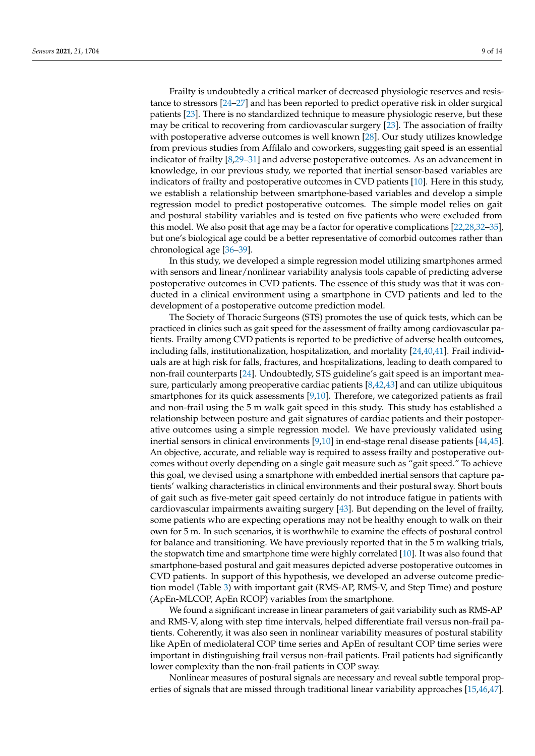Frailty is undoubtedly a critical marker of decreased physiologic reserves and resistance to stressors [\[24](#page-14-10)[–27\]](#page-14-11) and has been reported to predict operative risk in older surgical patients [\[23\]](#page-14-9). There is no standardized technique to measure physiologic reserve, but these may be critical to recovering from cardiovascular surgery [\[23\]](#page-14-9). The association of frailty with postoperative adverse outcomes is well known [\[28\]](#page-14-12). Our study utilizes knowledge from previous studies from Affilalo and coworkers, suggesting gait speed is an essential indicator of frailty [\[8](#page-13-6)[,29](#page-14-13)[–31\]](#page-14-14) and adverse postoperative outcomes. As an advancement in knowledge, in our previous study, we reported that inertial sensor-based variables are indicators of frailty and postoperative outcomes in CVD patients [\[10\]](#page-13-8). Here in this study, we establish a relationship between smartphone-based variables and develop a simple regression model to predict postoperative outcomes. The simple model relies on gait and postural stability variables and is tested on five patients who were excluded from this model. We also posit that age may be a factor for operative complications [\[22,](#page-14-8)[28,](#page-14-12)[32–](#page-14-15)[35\]](#page-14-16), but one's biological age could be a better representative of comorbid outcomes rather than chronological age [\[36–](#page-14-17)[39\]](#page-15-0).

In this study, we developed a simple regression model utilizing smartphones armed with sensors and linear/nonlinear variability analysis tools capable of predicting adverse postoperative outcomes in CVD patients. The essence of this study was that it was conducted in a clinical environment using a smartphone in CVD patients and led to the development of a postoperative outcome prediction model.

The Society of Thoracic Surgeons (STS) promotes the use of quick tests, which can be practiced in clinics such as gait speed for the assessment of frailty among cardiovascular patients. Frailty among CVD patients is reported to be predictive of adverse health outcomes, including falls, institutionalization, hospitalization, and mortality [\[24,](#page-14-10)[40,](#page-15-1)[41\]](#page-15-2). Frail individuals are at high risk for falls, fractures, and hospitalizations, leading to death compared to non-frail counterparts [\[24\]](#page-14-10). Undoubtedly, STS guideline's gait speed is an important measure, particularly among preoperative cardiac patients [\[8,](#page-13-6)[42,](#page-15-3)[43\]](#page-15-4) and can utilize ubiquitous smartphones for its quick assessments [\[9](#page-13-7)[,10\]](#page-13-8). Therefore, we categorized patients as frail and non-frail using the 5 m walk gait speed in this study. This study has established a relationship between posture and gait signatures of cardiac patients and their postoperative outcomes using a simple regression model. We have previously validated using inertial sensors in clinical environments [\[9,](#page-13-7)[10\]](#page-13-8) in end-stage renal disease patients [\[44,](#page-15-5)[45\]](#page-15-6). An objective, accurate, and reliable way is required to assess frailty and postoperative outcomes without overly depending on a single gait measure such as "gait speed." To achieve this goal, we devised using a smartphone with embedded inertial sensors that capture patients' walking characteristics in clinical environments and their postural sway. Short bouts of gait such as five-meter gait speed certainly do not introduce fatigue in patients with cardiovascular impairments awaiting surgery [\[43\]](#page-15-4). But depending on the level of frailty, some patients who are expecting operations may not be healthy enough to walk on their own for 5 m. In such scenarios, it is worthwhile to examine the effects of postural control for balance and transitioning. We have previously reported that in the 5 m walking trials, the stopwatch time and smartphone time were highly correlated [\[10\]](#page-13-8). It was also found that smartphone-based postural and gait measures depicted adverse postoperative outcomes in CVD patients. In support of this hypothesis, we developed an adverse outcome prediction model (Table [3\)](#page-9-0) with important gait (RMS-AP, RMS-V, and Step Time) and posture (ApEn-MLCOP, ApEn RCOP) variables from the smartphone.

We found a significant increase in linear parameters of gait variability such as RMS-AP and RMS-V, along with step time intervals, helped differentiate frail versus non-frail patients. Coherently, it was also seen in nonlinear variability measures of postural stability like ApEn of mediolateral COP time series and ApEn of resultant COP time series were important in distinguishing frail versus non-frail patients. Frail patients had significantly lower complexity than the non-frail patients in COP sway.

Nonlinear measures of postural signals are necessary and reveal subtle temporal properties of signals that are missed through traditional linear variability approaches [\[15](#page-14-1)[,46](#page-15-7)[,47\]](#page-15-8).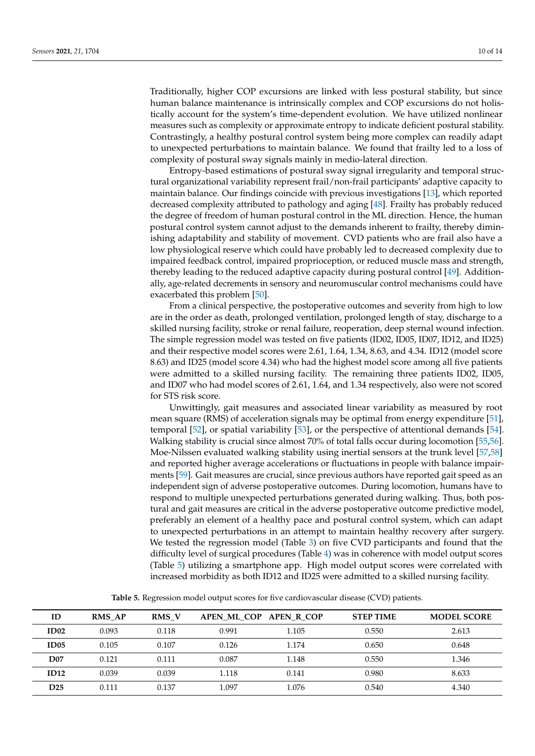Traditionally, higher COP excursions are linked with less postural stability, but since human balance maintenance is intrinsically complex and COP excursions do not holistically account for the system's time-dependent evolution. We have utilized nonlinear measures such as complexity or approximate entropy to indicate deficient postural stability. Contrastingly, a healthy postural control system being more complex can readily adapt to unexpected perturbations to maintain balance. We found that frailty led to a loss of complexity of postural sway signals mainly in medio-lateral direction.

Entropy-based estimations of postural sway signal irregularity and temporal structural organizational variability represent frail/non-frail participants' adaptive capacity to maintain balance. Our findings coincide with previous investigations [\[13\]](#page-13-11), which reported decreased complexity attributed to pathology and aging [\[48\]](#page-15-9). Frailty has probably reduced the degree of freedom of human postural control in the ML direction. Hence, the human postural control system cannot adjust to the demands inherent to frailty, thereby diminishing adaptability and stability of movement. CVD patients who are frail also have a low physiological reserve which could have probably led to decreased complexity due to impaired feedback control, impaired proprioception, or reduced muscle mass and strength, thereby leading to the reduced adaptive capacity during postural control [\[49\]](#page-15-10). Additionally, age-related decrements in sensory and neuromuscular control mechanisms could have exacerbated this problem [\[50\]](#page-15-11).

From a clinical perspective, the postoperative outcomes and severity from high to low are in the order as death, prolonged ventilation, prolonged length of stay, discharge to a skilled nursing facility, stroke or renal failure, reoperation, deep sternal wound infection. The simple regression model was tested on five patients (ID02, ID05, ID07, ID12, and ID25) and their respective model scores were 2.61, 1.64, 1.34, 8.63, and 4.34. ID12 (model score 8.63) and ID25 (model score 4.34) who had the highest model score among all five patients were admitted to a skilled nursing facility. The remaining three patients ID02, ID05, and ID07 who had model scores of 2.61, 1.64, and 1.34 respectively, also were not scored for STS risk score.

Unwittingly, gait measures and associated linear variability as measured by root mean square (RMS) of acceleration signals may be optimal from energy expenditure [\[51\]](#page-15-12), temporal [\[52\]](#page-15-13), or spatial variability [\[53\]](#page-15-14), or the perspective of attentional demands [\[54\]](#page-15-15). Walking stability is crucial since almost 70% of total falls occur during locomotion [\[55](#page-15-16)[,56\]](#page-15-17). Moe-Nilssen evaluated walking stability using inertial sensors at the trunk level [\[57,](#page-15-18)[58\]](#page-15-19) and reported higher average accelerations or fluctuations in people with balance impairments [\[59\]](#page-15-20). Gait measures are crucial, since previous authors have reported gait speed as an independent sign of adverse postoperative outcomes. During locomotion, humans have to respond to multiple unexpected perturbations generated during walking. Thus, both postural and gait measures are critical in the adverse postoperative outcome predictive model, preferably an element of a healthy pace and postural control system, which can adapt to unexpected perturbations in an attempt to maintain healthy recovery after surgery. We tested the regression model (Table [3\)](#page-9-0) on five CVD participants and found that the difficulty level of surgical procedures (Table [4\)](#page-9-1) was in coherence with model output scores (Table [5\)](#page-11-0) utilizing a smartphone app. High model output scores were correlated with increased morbidity as both ID12 and ID25 were admitted to a skilled nursing facility.

**Table 5.** Regression model output scores for five cardiovascular disease (CVD) patients.

<span id="page-11-0"></span>

| ID               | <b>RMS AP</b> | <b>RMS V</b> | APEN ML COP APEN R COP |       | <b>STEP TIME</b> | <b>MODEL SCORE</b> |
|------------------|---------------|--------------|------------------------|-------|------------------|--------------------|
| ID02             | 0.093         | 0.118        | 0.991                  | 1.105 | 0.550            | 2.613              |
| ID <sub>05</sub> | 0.105         | 0.107        | 0.126                  | 1.174 | 0.650            | 0.648              |
| D <sub>07</sub>  | 0.121         | 0.111        | 0.087                  | 1.148 | 0.550            | 1.346              |
| ID12             | 0.039         | 0.039        | 1.118                  | 0.141 | 0.980            | 8.633              |
| <b>D25</b>       | 0.111         | 0.137        | 1.097                  | 1.076 | 0.540            | 4.340              |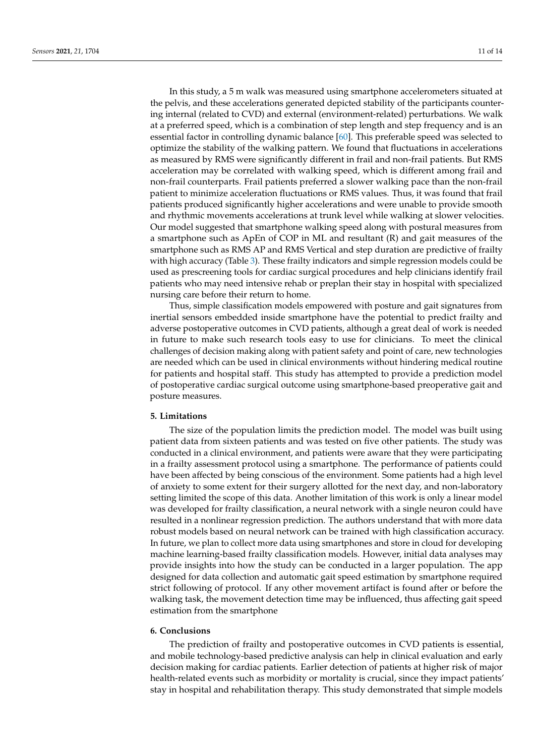In this study, a 5 m walk was measured using smartphone accelerometers situated at the pelvis, and these accelerations generated depicted stability of the participants countering internal (related to CVD) and external (environment-related) perturbations. We walk at a preferred speed, which is a combination of step length and step frequency and is an essential factor in controlling dynamic balance [\[60\]](#page-15-21). This preferable speed was selected to optimize the stability of the walking pattern. We found that fluctuations in accelerations as measured by RMS were significantly different in frail and non-frail patients. But RMS acceleration may be correlated with walking speed, which is different among frail and non-frail counterparts. Frail patients preferred a slower walking pace than the non-frail patient to minimize acceleration fluctuations or RMS values. Thus, it was found that frail patients produced significantly higher accelerations and were unable to provide smooth and rhythmic movements accelerations at trunk level while walking at slower velocities. Our model suggested that smartphone walking speed along with postural measures from a smartphone such as ApEn of COP in ML and resultant (R) and gait measures of the smartphone such as RMS AP and RMS Vertical and step duration are predictive of frailty with high accuracy (Table [3\)](#page-9-0). These frailty indicators and simple regression models could be used as prescreening tools for cardiac surgical procedures and help clinicians identify frail patients who may need intensive rehab or preplan their stay in hospital with specialized nursing care before their return to home.

Thus, simple classification models empowered with posture and gait signatures from inertial sensors embedded inside smartphone have the potential to predict frailty and adverse postoperative outcomes in CVD patients, although a great deal of work is needed in future to make such research tools easy to use for clinicians. To meet the clinical challenges of decision making along with patient safety and point of care, new technologies are needed which can be used in clinical environments without hindering medical routine for patients and hospital staff. This study has attempted to provide a prediction model of postoperative cardiac surgical outcome using smartphone-based preoperative gait and posture measures.

#### **5. Limitations**

The size of the population limits the prediction model. The model was built using patient data from sixteen patients and was tested on five other patients. The study was conducted in a clinical environment, and patients were aware that they were participating in a frailty assessment protocol using a smartphone. The performance of patients could have been affected by being conscious of the environment. Some patients had a high level of anxiety to some extent for their surgery allotted for the next day, and non-laboratory setting limited the scope of this data. Another limitation of this work is only a linear model was developed for frailty classification, a neural network with a single neuron could have resulted in a nonlinear regression prediction. The authors understand that with more data robust models based on neural network can be trained with high classification accuracy. In future, we plan to collect more data using smartphones and store in cloud for developing machine learning-based frailty classification models. However, initial data analyses may provide insights into how the study can be conducted in a larger population. The app designed for data collection and automatic gait speed estimation by smartphone required strict following of protocol. If any other movement artifact is found after or before the walking task, the movement detection time may be influenced, thus affecting gait speed estimation from the smartphone

#### **6. Conclusions**

The prediction of frailty and postoperative outcomes in CVD patients is essential, and mobile technology-based predictive analysis can help in clinical evaluation and early decision making for cardiac patients. Earlier detection of patients at higher risk of major health-related events such as morbidity or mortality is crucial, since they impact patients' stay in hospital and rehabilitation therapy. This study demonstrated that simple models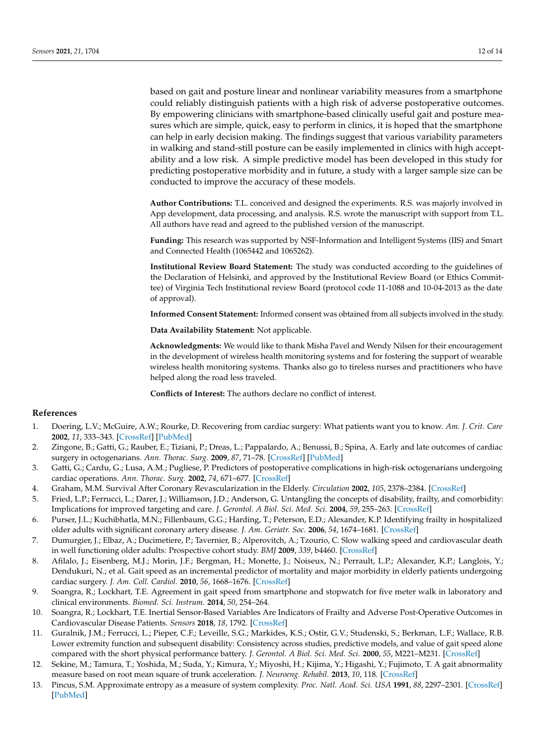based on gait and posture linear and nonlinear variability measures from a smartphone could reliably distinguish patients with a high risk of adverse postoperative outcomes. By empowering clinicians with smartphone-based clinically useful gait and posture measures which are simple, quick, easy to perform in clinics, it is hoped that the smartphone can help in early decision making. The findings suggest that various variability parameters in walking and stand-still posture can be easily implemented in clinics with high acceptability and a low risk. A simple predictive model has been developed in this study for predicting postoperative morbidity and in future, a study with a larger sample size can be conducted to improve the accuracy of these models.

**Author Contributions:** T.L. conceived and designed the experiments. R.S. was majorly involved in App development, data processing, and analysis. R.S. wrote the manuscript with support from T.L. All authors have read and agreed to the published version of the manuscript.

**Funding:** This research was supported by NSF-Information and Intelligent Systems (IIS) and Smart and Connected Health (1065442 and 1065262).

**Institutional Review Board Statement:** The study was conducted according to the guidelines of the Declaration of Helsinki, and approved by the Institutional Review Board (or Ethics Committee) of Virginia Tech Institutional review Board (protocol code 11-1088 and 10-04-2013 as the date of approval).

**Informed Consent Statement:** Informed consent was obtained from all subjects involved in the study.

**Data Availability Statement:** Not applicable.

**Acknowledgments:** We would like to thank Misha Pavel and Wendy Nilsen for their encouragement in the development of wireless health monitoring systems and for fostering the support of wearable wireless health monitoring systems. Thanks also go to tireless nurses and practitioners who have helped along the road less traveled.

**Conflicts of Interest:** The authors declare no conflict of interest.

#### **References**

- <span id="page-13-0"></span>1. Doering, L.V.; McGuire, A.W.; Rourke, D. Recovering from cardiac surgery: What patients want you to know. *Am. J. Crit. Care* **2002**, *11*, 333–343. [\[CrossRef\]](http://doi.org/10.4037/ajcc2002.11.4.333) [\[PubMed\]](http://www.ncbi.nlm.nih.gov/pubmed/12102434)
- <span id="page-13-1"></span>2. Zingone, B.; Gatti, G.; Rauber, E.; Tiziani, P.; Dreas, L.; Pappalardo, A.; Benussi, B.; Spina, A. Early and late outcomes of cardiac surgery in octogenarians. *Ann. Thorac. Surg.* **2009**, *87*, 71–78. [\[CrossRef\]](http://doi.org/10.1016/j.athoracsur.2008.10.011) [\[PubMed\]](http://www.ncbi.nlm.nih.gov/pubmed/19101271)
- 3. Gatti, G.; Cardu, G.; Lusa, A.M.; Pugliese, P. Predictors of postoperative complications in high-risk octogenarians undergoing cardiac operations. *Ann. Thorac. Surg.* **2002**, *74*, 671–677. [\[CrossRef\]](http://doi.org/10.1016/S0003-4975(02)03741-4)
- <span id="page-13-2"></span>4. Graham, M.M. Survival After Coronary Revascularization in the Elderly. *Circulation* **2002**, *105*, 2378–2384. [\[CrossRef\]](http://doi.org/10.1161/01.CIR.0000016640.99114.3D)
- <span id="page-13-3"></span>5. Fried, L.P.; Ferrucci, L.; Darer, J.; Williamson, J.D.; Anderson, G. Untangling the concepts of disability, frailty, and comorbidity: Implications for improved targeting and care. *J. Gerontol. A Biol. Sci. Med. Sci.* **2004**, *59*, 255–263. [\[CrossRef\]](http://doi.org/10.1093/gerona/59.3.M255)
- <span id="page-13-4"></span>6. Purser, J.L.; Kuchibhatla, M.N.; Fillenbaum, G.G.; Harding, T.; Peterson, E.D.; Alexander, K.P. Identifying frailty in hospitalized older adults with significant coronary artery disease. *J. Am. Geriatr. Soc.* **2006**, *54*, 1674–1681. [\[CrossRef\]](http://doi.org/10.1111/j.1532-5415.2006.00914.x)
- <span id="page-13-5"></span>7. Dumurgier, J.; Elbaz, A.; Ducimetiere, P.; Tavernier, B.; Alperovitch, A.; Tzourio, C. Slow walking speed and cardiovascular death in well functioning older adults: Prospective cohort study. *BMJ* **2009**, *339*, b4460. [\[CrossRef\]](http://doi.org/10.1136/bmj.b4460)
- <span id="page-13-6"></span>8. Afilalo, J.; Eisenberg, M.J.; Morin, J.F.; Bergman, H.; Monette, J.; Noiseux, N.; Perrault, L.P.; Alexander, K.P.; Langlois, Y.; Dendukuri, N.; et al. Gait speed as an incremental predictor of mortality and major morbidity in elderly patients undergoing cardiac surgery. *J. Am. Coll. Cardiol.* **2010**, *56*, 1668–1676. [\[CrossRef\]](http://doi.org/10.1016/j.jacc.2010.06.039)
- <span id="page-13-7"></span>9. Soangra, R.; Lockhart, T.E. Agreement in gait speed from smartphone and stopwatch for five meter walk in laboratory and clinical environments. *Biomed. Sci. Instrum.* **2014**, *50*, 254–264.
- <span id="page-13-8"></span>10. Soangra, R.; Lockhart, T.E. Inertial Sensor-Based Variables Are Indicators of Frailty and Adverse Post-Operative Outcomes in Cardiovascular Disease Patients. *Sensors* **2018**, *18*, 1792. [\[CrossRef\]](http://doi.org/10.3390/s18061792)
- <span id="page-13-9"></span>11. Guralnik, J.M.; Ferrucci, L.; Pieper, C.F.; Leveille, S.G.; Markides, K.S.; Ostir, G.V.; Studenski, S.; Berkman, L.F.; Wallace, R.B. Lower extremity function and subsequent disability: Consistency across studies, predictive models, and value of gait speed alone compared with the short physical performance battery. *J. Gerontol. A Biol. Sci. Med. Sci.* **2000**, *55*, M221–M231. [\[CrossRef\]](http://doi.org/10.1093/gerona/55.4.M221)
- <span id="page-13-10"></span>12. Sekine, M.; Tamura, T.; Yoshida, M.; Suda, Y.; Kimura, Y.; Miyoshi, H.; Kijima, Y.; Higashi, Y.; Fujimoto, T. A gait abnormality measure based on root mean square of trunk acceleration. *J. Neuroeng. Rehabil.* **2013**, *10*, 118. [\[CrossRef\]](http://doi.org/10.1186/1743-0003-10-118)
- <span id="page-13-11"></span>13. Pincus, S.M. Approximate entropy as a measure of system complexity. *Proc. Natl. Acad. Sci. USA* **1991**, *88*, 2297–2301. [\[CrossRef\]](http://doi.org/10.1073/pnas.88.6.2297) [\[PubMed\]](http://www.ncbi.nlm.nih.gov/pubmed/11607165)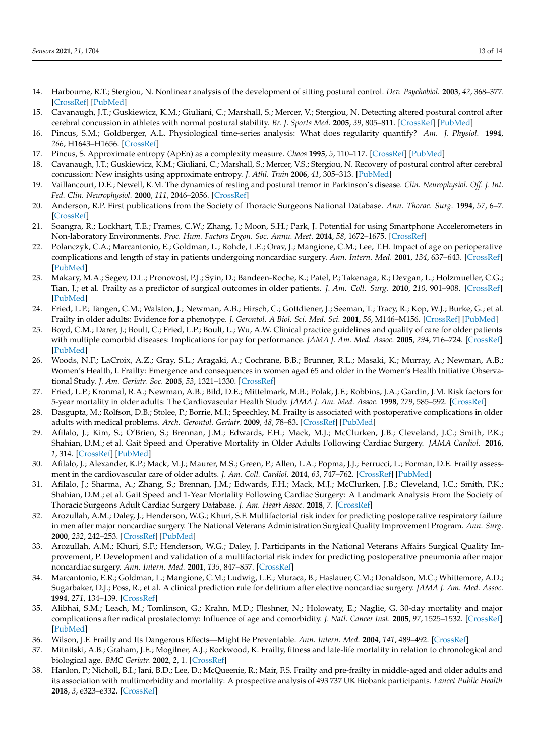- <span id="page-14-0"></span>14. Harbourne, R.T.; Stergiou, N. Nonlinear analysis of the development of sitting postural control. *Dev. Psychobiol.* **2003**, *42*, 368–377. [\[CrossRef\]](http://doi.org/10.1002/dev.10110) [\[PubMed\]](http://www.ncbi.nlm.nih.gov/pubmed/12672087)
- <span id="page-14-1"></span>15. Cavanaugh, J.T.; Guskiewicz, K.M.; Giuliani, C.; Marshall, S.; Mercer, V.; Stergiou, N. Detecting altered postural control after cerebral concussion in athletes with normal postural stability. *Br. J. Sports Med.* **2005**, *39*, 805–811. [\[CrossRef\]](http://doi.org/10.1136/bjsm.2004.015909) [\[PubMed\]](http://www.ncbi.nlm.nih.gov/pubmed/16244188)
- <span id="page-14-2"></span>16. Pincus, S.M.; Goldberger, A.L. Physiological time-series analysis: What does regularity quantify? *Am. J. Physiol.* **1994**, *266*, H1643–H1656. [\[CrossRef\]](http://doi.org/10.1152/ajpheart.1994.266.4.H1643)
- <span id="page-14-3"></span>17. Pincus, S. Approximate entropy (ApEn) as a complexity measure. *Chaos* **1995**, *5*, 110–117. [\[CrossRef\]](http://doi.org/10.1063/1.166092) [\[PubMed\]](http://www.ncbi.nlm.nih.gov/pubmed/12780163)
- <span id="page-14-4"></span>18. Cavanaugh, J.T.; Guskiewicz, K.M.; Giuliani, C.; Marshall, S.; Mercer, V.S.; Stergiou, N. Recovery of postural control after cerebral concussion: New insights using approximate entropy. *J. Athl. Train* **2006**, *41*, 305–313. [\[PubMed\]](http://www.ncbi.nlm.nih.gov/pubmed/17043699)
- <span id="page-14-5"></span>19. Vaillancourt, D.E.; Newell, K.M. The dynamics of resting and postural tremor in Parkinson's disease. *Clin. Neurophysiol. Off. J. Int. Fed. Clin. Neurophysiol.* **2000**, *111*, 2046–2056. [\[CrossRef\]](http://doi.org/10.1016/S1388-2457(00)00467-3)
- <span id="page-14-6"></span>20. Anderson, R.P. First publications from the Society of Thoracic Surgeons National Database. *Ann. Thorac. Surg.* **1994**, *57*, 6–7. [\[CrossRef\]](http://doi.org/10.1016/0003-4975(94)90355-7)
- <span id="page-14-7"></span>21. Soangra, R.; Lockhart, T.E.; Frames, C.W.; Zhang, J.; Moon, S.H.; Park, J. Potential for using Smartphone Accelerometers in Non-laboratory Environments. *Proc. Hum. Factors Ergon. Soc. Annu. Meet.* **2014**, *58*, 1672–1675. [\[CrossRef\]](http://doi.org/10.1177/1541931214581349)
- <span id="page-14-8"></span>22. Polanczyk, C.A.; Marcantonio, E.; Goldman, L.; Rohde, L.E.; Orav, J.; Mangione, C.M.; Lee, T.H. Impact of age on perioperative complications and length of stay in patients undergoing noncardiac surgery. *Ann. Intern. Med.* **2001**, *134*, 637–643. [\[CrossRef\]](http://doi.org/10.7326/0003-4819-134-8-200104170-00008) [\[PubMed\]](http://www.ncbi.nlm.nih.gov/pubmed/11304103)
- <span id="page-14-9"></span>23. Makary, M.A.; Segev, D.L.; Pronovost, P.J.; Syin, D.; Bandeen-Roche, K.; Patel, P.; Takenaga, R.; Devgan, L.; Holzmueller, C.G.; Tian, J.; et al. Frailty as a predictor of surgical outcomes in older patients. *J. Am. Coll. Surg.* **2010**, *210*, 901–908. [\[CrossRef\]](http://doi.org/10.1016/j.jamcollsurg.2010.01.028) [\[PubMed\]](http://www.ncbi.nlm.nih.gov/pubmed/20510798)
- <span id="page-14-10"></span>24. Fried, L.P.; Tangen, C.M.; Walston, J.; Newman, A.B.; Hirsch, C.; Gottdiener, J.; Seeman, T.; Tracy, R.; Kop, W.J.; Burke, G.; et al. Frailty in older adults: Evidence for a phenotype. *J. Gerontol. A Biol. Sci. Med. Sci.* **2001**, *56*, M146–M156. [\[CrossRef\]](http://doi.org/10.1093/gerona/56.3.M146) [\[PubMed\]](http://www.ncbi.nlm.nih.gov/pubmed/11253156)
- 25. Boyd, C.M.; Darer, J.; Boult, C.; Fried, L.P.; Boult, L.; Wu, A.W. Clinical practice guidelines and quality of care for older patients with multiple comorbid diseases: Implications for pay for performance. *JAMA J. Am. Med. Assoc.* **2005**, *294*, 716–724. [\[CrossRef\]](http://doi.org/10.1001/jama.294.6.716) [\[PubMed\]](http://www.ncbi.nlm.nih.gov/pubmed/16091574)
- 26. Woods, N.F.; LaCroix, A.Z.; Gray, S.L.; Aragaki, A.; Cochrane, B.B.; Brunner, R.L.; Masaki, K.; Murray, A.; Newman, A.B.; Women's Health, I. Frailty: Emergence and consequences in women aged 65 and older in the Women's Health Initiative Observational Study. *J. Am. Geriatr. Soc.* **2005**, *53*, 1321–1330. [\[CrossRef\]](http://doi.org/10.1111/j.1532-5415.2005.53405.x)
- <span id="page-14-11"></span>27. Fried, L.P.; Kronmal, R.A.; Newman, A.B.; Bild, D.E.; Mittelmark, M.B.; Polak, J.F.; Robbins, J.A.; Gardin, J.M. Risk factors for 5-year mortality in older adults: The Cardiovascular Health Study. *JAMA J. Am. Med. Assoc.* **1998**, *279*, 585–592. [\[CrossRef\]](http://doi.org/10.1001/jama.279.8.585)
- <span id="page-14-12"></span>28. Dasgupta, M.; Rolfson, D.B.; Stolee, P.; Borrie, M.J.; Speechley, M. Frailty is associated with postoperative complications in older adults with medical problems. *Arch. Gerontol. Geriatr.* **2009**, *48*, 78–83. [\[CrossRef\]](http://doi.org/10.1016/j.archger.2007.10.007) [\[PubMed\]](http://www.ncbi.nlm.nih.gov/pubmed/18068828)
- <span id="page-14-13"></span>29. Afilalo, J.; Kim, S.; O'Brien, S.; Brennan, J.M.; Edwards, F.H.; Mack, M.J.; McClurken, J.B.; Cleveland, J.C.; Smith, P.K.; Shahian, D.M.; et al. Gait Speed and Operative Mortality in Older Adults Following Cardiac Surgery. *JAMA Cardiol.* **2016**, *1*, 314. [\[CrossRef\]](http://doi.org/10.1001/jamacardio.2016.0316) [\[PubMed\]](http://www.ncbi.nlm.nih.gov/pubmed/27438112)
- 30. Afilalo, J.; Alexander, K.P.; Mack, M.J.; Maurer, M.S.; Green, P.; Allen, L.A.; Popma, J.J.; Ferrucci, L.; Forman, D.E. Frailty assessment in the cardiovascular care of older adults. *J. Am. Coll. Cardiol.* **2014**, *63*, 747–762. [\[CrossRef\]](http://doi.org/10.1016/j.jacc.2013.09.070) [\[PubMed\]](http://www.ncbi.nlm.nih.gov/pubmed/24291279)
- <span id="page-14-14"></span>31. Afilalo, J.; Sharma, A.; Zhang, S.; Brennan, J.M.; Edwards, F.H.; Mack, M.J.; McClurken, J.B.; Cleveland, J.C.; Smith, P.K.; Shahian, D.M.; et al. Gait Speed and 1-Year Mortality Following Cardiac Surgery: A Landmark Analysis From the Society of Thoracic Surgeons Adult Cardiac Surgery Database. *J. Am. Heart Assoc.* **2018**, *7*. [\[CrossRef\]](http://doi.org/10.1161/JAHA.118.010139)
- <span id="page-14-15"></span>32. Arozullah, A.M.; Daley, J.; Henderson, W.G.; Khuri, S.F. Multifactorial risk index for predicting postoperative respiratory failure in men after major noncardiac surgery. The National Veterans Administration Surgical Quality Improvement Program. *Ann. Surg.* **2000**, *232*, 242–253. [\[CrossRef\]](http://doi.org/10.1097/00000658-200008000-00015) [\[PubMed\]](http://www.ncbi.nlm.nih.gov/pubmed/10903604)
- 33. Arozullah, A.M.; Khuri, S.F.; Henderson, W.G.; Daley, J. Participants in the National Veterans Affairs Surgical Quality Improvement, P. Development and validation of a multifactorial risk index for predicting postoperative pneumonia after major noncardiac surgery. *Ann. Intern. Med.* **2001**, *135*, 847–857. [\[CrossRef\]](http://doi.org/10.7326/0003-4819-135-10-200111200-00005)
- 34. Marcantonio, E.R.; Goldman, L.; Mangione, C.M.; Ludwig, L.E.; Muraca, B.; Haslauer, C.M.; Donaldson, M.C.; Whittemore, A.D.; Sugarbaker, D.J.; Poss, R.; et al. A clinical prediction rule for delirium after elective noncardiac surgery. *JAMA J. Am. Med. Assoc.* **1994**, *271*, 134–139. [\[CrossRef\]](http://doi.org/10.1001/jama.1994.03510260066030)
- <span id="page-14-16"></span>35. Alibhai, S.M.; Leach, M.; Tomlinson, G.; Krahn, M.D.; Fleshner, N.; Holowaty, E.; Naglie, G. 30-day mortality and major complications after radical prostatectomy: Influence of age and comorbidity. *J. Natl. Cancer Inst.* **2005**, *97*, 1525–1532. [\[CrossRef\]](http://doi.org/10.1093/jnci/dji313) [\[PubMed\]](http://www.ncbi.nlm.nih.gov/pubmed/16234566)
- <span id="page-14-17"></span>36. Wilson, J.F. Frailty and Its Dangerous Effects—Might Be Preventable. *Ann. Intern. Med.* **2004**, *141*, 489–492. [\[CrossRef\]](http://doi.org/10.7326/0003-4819-141-6-200409210-00035)
- 37. Mitnitski, A.B.; Graham, J.E.; Mogilner, A.J.; Rockwood, K. Frailty, fitness and late-life mortality in relation to chronological and biological age. *BMC Geriatr.* **2002**, *2*, 1. [\[CrossRef\]](http://doi.org/10.1186/1471-2318-2-1)
- 38. Hanlon, P.; Nicholl, B.I.; Jani, B.D.; Lee, D.; McQueenie, R.; Mair, F.S. Frailty and pre-frailty in middle-aged and older adults and its association with multimorbidity and mortality: A prospective analysis of 493 737 UK Biobank participants. *Lancet Public Health* **2018**, *3*, e323–e332. [\[CrossRef\]](http://doi.org/10.1016/S2468-2667(18)30091-4)